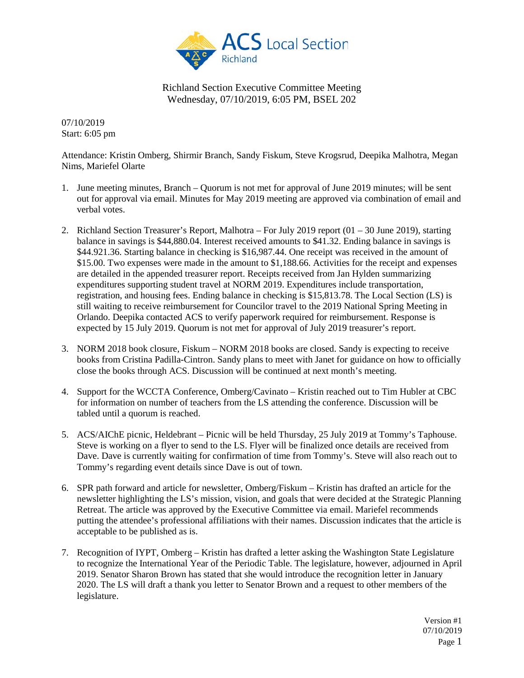

07/10/2019 Start: 6:05 pm

Attendance: Kristin Omberg, Shirmir Branch, Sandy Fiskum, Steve Krogsrud, Deepika Malhotra, Megan Nims, Mariefel Olarte

- 1. June meeting minutes, Branch Quorum is not met for approval of June 2019 minutes; will be sent out for approval via email. Minutes for May 2019 meeting are approved via combination of email and verbal votes.
- 2. Richland Section Treasurer's Report, Malhotra For July 2019 report (01 30 June 2019), starting balance in savings is \$44,880.04. Interest received amounts to \$41.32. Ending balance in savings is \$44.921.36. Starting balance in checking is \$16,987.44. One receipt was received in the amount of \$15.00. Two expenses were made in the amount to \$1,188.66. Activities for the receipt and expenses are detailed in the appended treasurer report. Receipts received from Jan Hylden summarizing expenditures supporting student travel at NORM 2019. Expenditures include transportation, registration, and housing fees. Ending balance in checking is \$15,813.78. The Local Section (LS) is still waiting to receive reimbursement for Councilor travel to the 2019 National Spring Meeting in Orlando. Deepika contacted ACS to verify paperwork required for reimbursement. Response is expected by 15 July 2019. Quorum is not met for approval of July 2019 treasurer's report.
- 3. NORM 2018 book closure, Fiskum NORM 2018 books are closed. Sandy is expecting to receive books from Cristina Padilla-Cintron. Sandy plans to meet with Janet for guidance on how to officially close the books through ACS. Discussion will be continued at next month's meeting.
- 4. Support for the WCCTA Conference, Omberg/Cavinato Kristin reached out to Tim Hubler at CBC for information on number of teachers from the LS attending the conference. Discussion will be tabled until a quorum is reached.
- 5. ACS/AIChE picnic, Heldebrant Picnic will be held Thursday, 25 July 2019 at Tommy's Taphouse. Steve is working on a flyer to send to the LS. Flyer will be finalized once details are received from Dave. Dave is currently waiting for confirmation of time from Tommy's. Steve will also reach out to Tommy's regarding event details since Dave is out of town.
- 6. SPR path forward and article for newsletter, Omberg/Fiskum Kristin has drafted an article for the newsletter highlighting the LS's mission, vision, and goals that were decided at the Strategic Planning Retreat. The article was approved by the Executive Committee via email. Mariefel recommends putting the attendee's professional affiliations with their names. Discussion indicates that the article is acceptable to be published as is.
- 7. Recognition of IYPT, Omberg Kristin has drafted a letter asking the Washington State Legislature to recognize the International Year of the Periodic Table. The legislature, however, adjourned in April 2019. Senator Sharon Brown has stated that she would introduce the recognition letter in January 2020. The LS will draft a thank you letter to Senator Brown and a request to other members of the legislature.

Version #1 07/10/2019 Page 1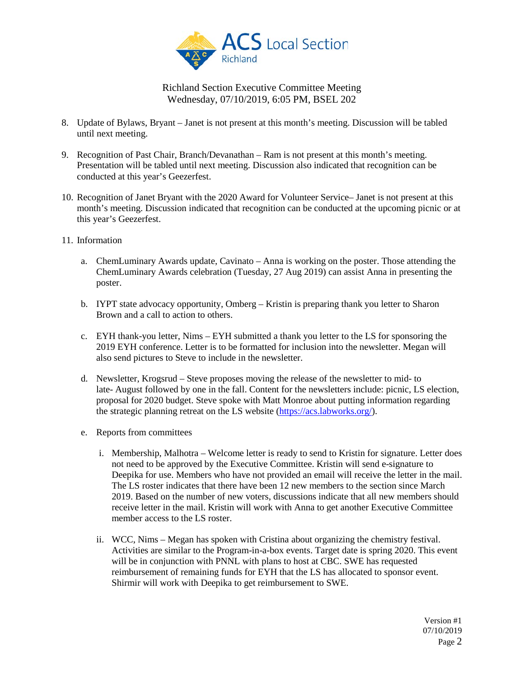

- 8. Update of Bylaws, Bryant Janet is not present at this month's meeting. Discussion will be tabled until next meeting.
- 9. Recognition of Past Chair, Branch/Devanathan Ram is not present at this month's meeting. Presentation will be tabled until next meeting. Discussion also indicated that recognition can be conducted at this year's Geezerfest.
- 10. Recognition of Janet Bryant with the 2020 Award for Volunteer Service– Janet is not present at this month's meeting. Discussion indicated that recognition can be conducted at the upcoming picnic or at this year's Geezerfest.
- 11. Information
	- a. ChemLuminary Awards update, Cavinato Anna is working on the poster. Those attending the ChemLuminary Awards celebration (Tuesday, 27 Aug 2019) can assist Anna in presenting the poster.
	- b. IYPT state advocacy opportunity, Omberg Kristin is preparing thank you letter to Sharon Brown and a call to action to others.
	- c. EYH thank-you letter,  $Nims EYH$  submitted a thank you letter to the LS for sponsoring the 2019 EYH conference. Letter is to be formatted for inclusion into the newsletter. Megan will also send pictures to Steve to include in the newsletter.
	- d. Newsletter, Krogsrud Steve proposes moving the release of the newsletter to mid- to late- August followed by one in the fall. Content for the newsletters include: picnic, LS election, proposal for 2020 budget. Steve spoke with Matt Monroe about putting information regarding the strategic planning retreat on the LS website [\(https://acs.labworks.org/\)](https://acs.labworks.org/).
	- e. Reports from committees
		- i. Membership, Malhotra Welcome letter is ready to send to Kristin for signature. Letter does not need to be approved by the Executive Committee. Kristin will send e-signature to Deepika for use. Members who have not provided an email will receive the letter in the mail. The LS roster indicates that there have been 12 new members to the section since March 2019. Based on the number of new voters, discussions indicate that all new members should receive letter in the mail. Kristin will work with Anna to get another Executive Committee member access to the LS roster.
		- ii. WCC, Nims Megan has spoken with Cristina about organizing the chemistry festival. Activities are similar to the Program-in-a-box events. Target date is spring 2020. This event will be in conjunction with PNNL with plans to host at CBC. SWE has requested reimbursement of remaining funds for EYH that the LS has allocated to sponsor event. Shirmir will work with Deepika to get reimbursement to SWE.

Version #1 07/10/2019 Page 2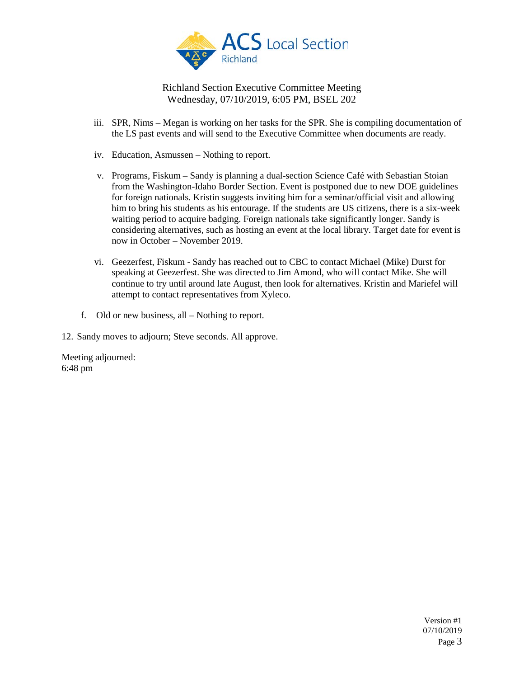

- iii. SPR, Nims Megan is working on her tasks for the SPR. She is compiling documentation of the LS past events and will send to the Executive Committee when documents are ready.
- iv. Education, Asmussen Nothing to report.
- v. Programs, Fiskum Sandy is planning a dual-section Science Café with Sebastian Stoian from the Washington-Idaho Border Section. Event is postponed due to new DOE guidelines for foreign nationals. Kristin suggests inviting him for a seminar/official visit and allowing him to bring his students as his entourage. If the students are US citizens, there is a six-week waiting period to acquire badging. Foreign nationals take significantly longer. Sandy is considering alternatives, such as hosting an event at the local library. Target date for event is now in October – November 2019.
- vi. Geezerfest, Fiskum Sandy has reached out to CBC to contact Michael (Mike) Durst for speaking at Geezerfest. She was directed to Jim Amond, who will contact Mike. She will continue to try until around late August, then look for alternatives. Kristin and Mariefel will attempt to contact representatives from Xyleco.
- f. Old or new business, all Nothing to report.

12. Sandy moves to adjourn; Steve seconds. All approve.

Meeting adjourned: 6:48 pm

> Version #1 07/10/2019 Page 3